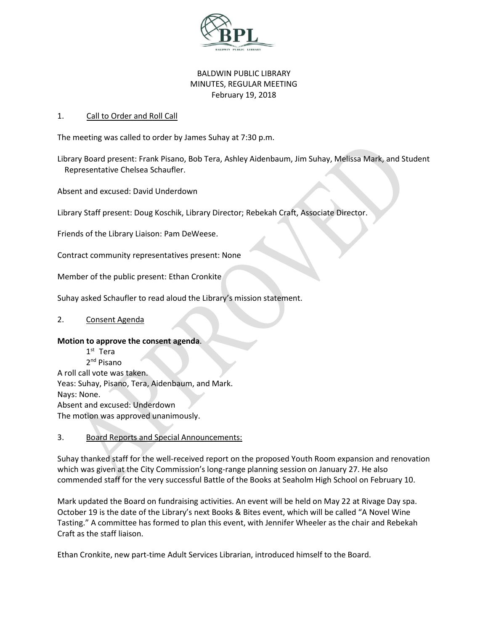

# BALDWIN PUBLIC LIBRARY MINUTES, REGULAR MEETING February 19, 2018

### 1. Call to Order and Roll Call

The meeting was called to order by James Suhay at 7:30 p.m.

Library Board present: Frank Pisano, Bob Tera, Ashley Aidenbaum, Jim Suhay, Melissa Mark, and Student Representative Chelsea Schaufler.

Absent and excused: David Underdown

Library Staff present: Doug Koschik, Library Director; Rebekah Craft, Associate Director.

Friends of the Library Liaison: Pam DeWeese.

Contract community representatives present: None

Member of the public present: Ethan Cronkite

Suhay asked Schaufler to read aloud the Library's mission statement.

#### 2. Consent Agenda

#### **Motion to approve the consent agenda**.

1 st Tera 2<sup>nd</sup> Pisano A roll call vote was taken. Yeas: Suhay, Pisano, Tera, Aidenbaum, and Mark. Nays: None. Absent and excused: Underdown The motion was approved unanimously.

# 3. Board Reports and Special Announcements:

Suhay thanked staff for the well-received report on the proposed Youth Room expansion and renovation which was given at the City Commission's long-range planning session on January 27. He also commended staff for the very successful Battle of the Books at Seaholm High School on February 10.

Mark updated the Board on fundraising activities. An event will be held on May 22 at Rivage Day spa. October 19 is the date of the Library's next Books & Bites event, which will be called "A Novel Wine Tasting." A committee has formed to plan this event, with Jennifer Wheeler as the chair and Rebekah Craft as the staff liaison.

Ethan Cronkite, new part-time Adult Services Librarian, introduced himself to the Board.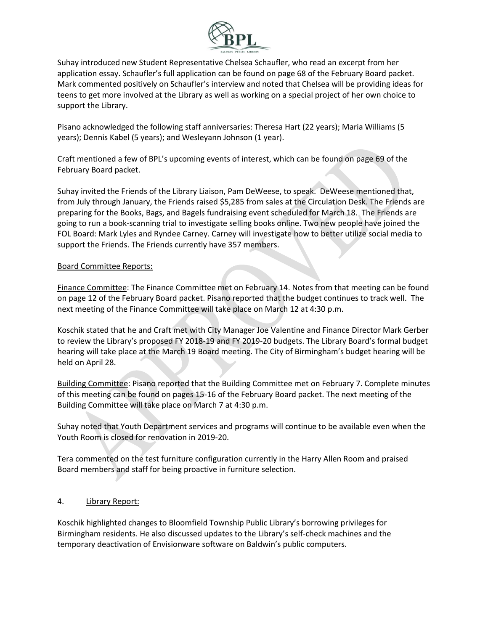

Suhay introduced new Student Representative Chelsea Schaufler, who read an excerpt from her application essay. Schaufler's full application can be found on page 68 of the February Board packet. Mark commented positively on Schaufler's interview and noted that Chelsea will be providing ideas for teens to get more involved at the Library as well as working on a special project of her own choice to support the Library.

Pisano acknowledged the following staff anniversaries: Theresa Hart (22 years); Maria Williams (5 years); Dennis Kabel (5 years); and Wesleyann Johnson (1 year).

Craft mentioned a few of BPL's upcoming events of interest, which can be found on page 69 of the February Board packet.

Suhay invited the Friends of the Library Liaison, Pam DeWeese, to speak. DeWeese mentioned that, from July through January, the Friends raised \$5,285 from sales at the Circulation Desk. The Friends are preparing for the Books, Bags, and Bagels fundraising event scheduled for March 18. The Friends are going to run a book-scanning trial to investigate selling books online. Two new people have joined the FOL Board: Mark Lyles and Ryndee Carney. Carney will investigate how to better utilize social media to support the Friends. The Friends currently have 357 members.

### Board Committee Reports:

Finance Committee: The Finance Committee met on February 14. Notes from that meeting can be found on page 12 of the February Board packet. Pisano reported that the budget continues to track well. The next meeting of the Finance Committee will take place on March 12 at 4:30 p.m.

Koschik stated that he and Craft met with City Manager Joe Valentine and Finance Director Mark Gerber to review the Library's proposed FY 2018-19 and FY 2019-20 budgets. The Library Board's formal budget hearing will take place at the March 19 Board meeting. The City of Birmingham's budget hearing will be held on April 28.

Building Committee: Pisano reported that the Building Committee met on February 7. Complete minutes of this meeting can be found on pages 15-16 of the February Board packet. The next meeting of the Building Committee will take place on March 7 at 4:30 p.m.

Suhay noted that Youth Department services and programs will continue to be available even when the Youth Room is closed for renovation in 2019-20.

Tera commented on the test furniture configuration currently in the Harry Allen Room and praised Board members and staff for being proactive in furniture selection.

# 4. Library Report:

Koschik highlighted changes to Bloomfield Township Public Library's borrowing privileges for Birmingham residents. He also discussed updates to the Library's self-check machines and the temporary deactivation of Envisionware software on Baldwin's public computers.